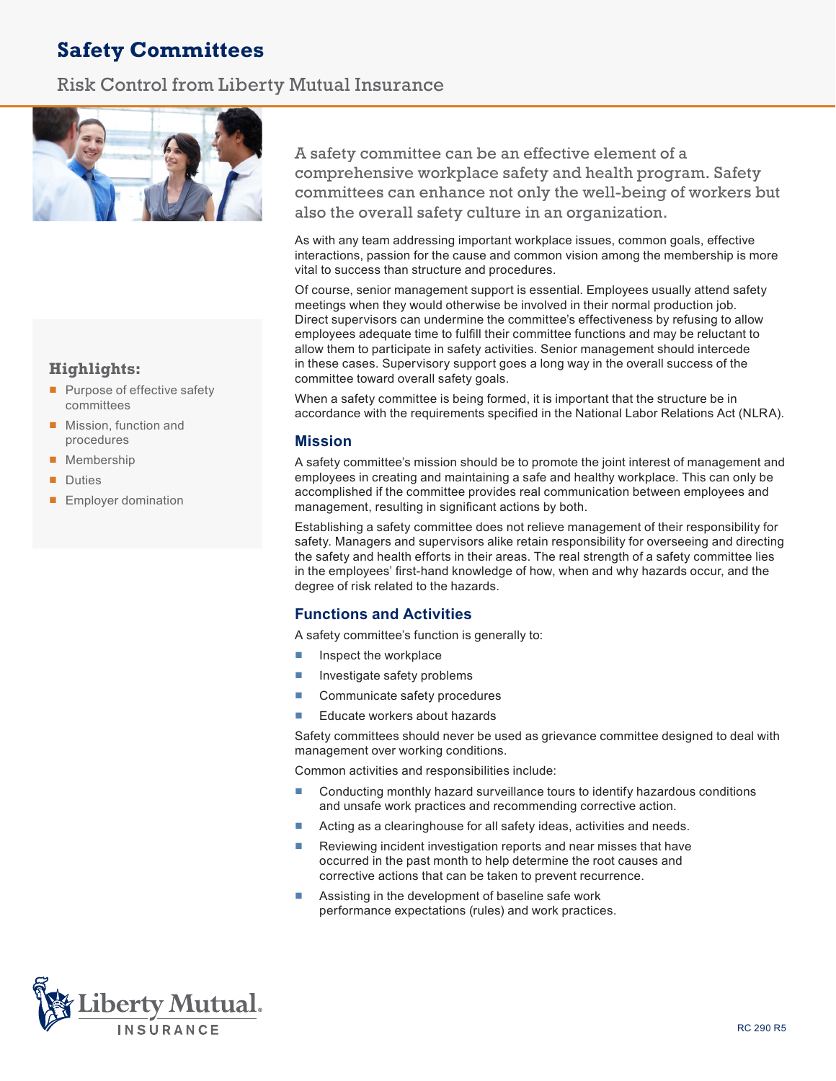# **Safety Committees**

# Risk Control from Liberty Mutual Insurance



# **Highlights:**

- Purpose of effective safety committees
- Mission, function and procedures
- Membership
- Duties
- Employer domination

A safety committee can be an effective element of a comprehensive workplace safety and health program. Safety committees can enhance not only the well-being of workers but also the overall safety culture in an organization.

As with any team addressing important workplace issues, common goals, effective interactions, passion for the cause and common vision among the membership is more vital to success than structure and procedures.

Of course, senior management support is essential. Employees usually attend safety meetings when they would otherwise be involved in their normal production job. Direct supervisors can undermine the committee's effectiveness by refusing to allow employees adequate time to fulfill their committee functions and may be reluctant to allow them to participate in safety activities. Senior management should intercede in these cases. Supervisory support goes a long way in the overall success of the committee toward overall safety goals.

When a safety committee is being formed, it is important that the structure be in accordance with the requirements specified in the National Labor Relations Act (NLRA).

# **Mission**

A safety committee's mission should be to promote the joint interest of management and employees in creating and maintaining a safe and healthy workplace. This can only be accomplished if the committee provides real communication between employees and management, resulting in significant actions by both.

Establishing a safety committee does not relieve management of their responsibility for safety. Managers and supervisors alike retain responsibility for overseeing and directing the safety and health efforts in their areas. The real strength of a safety committee lies in the employees' first-hand knowledge of how, when and why hazards occur, and the degree of risk related to the hazards.

# **Functions and Activities**

A safety committee's function is generally to:

- Inspect the workplace
- Investigate safety problems
- Communicate safety procedures
- Educate workers about hazards

Safety committees should never be used as grievance committee designed to deal with management over working conditions.

Common activities and responsibilities include:

- Conducting monthly hazard surveillance tours to identify hazardous conditions and unsafe work practices and recommending corrective action.
- Acting as a clearinghouse for all safety ideas, activities and needs.
- Reviewing incident investigation reports and near misses that have occurred in the past month to help determine the root causes and corrective actions that can be taken to prevent recurrence.
- Assisting in the development of baseline safe work performance expectations (rules) and work practices.

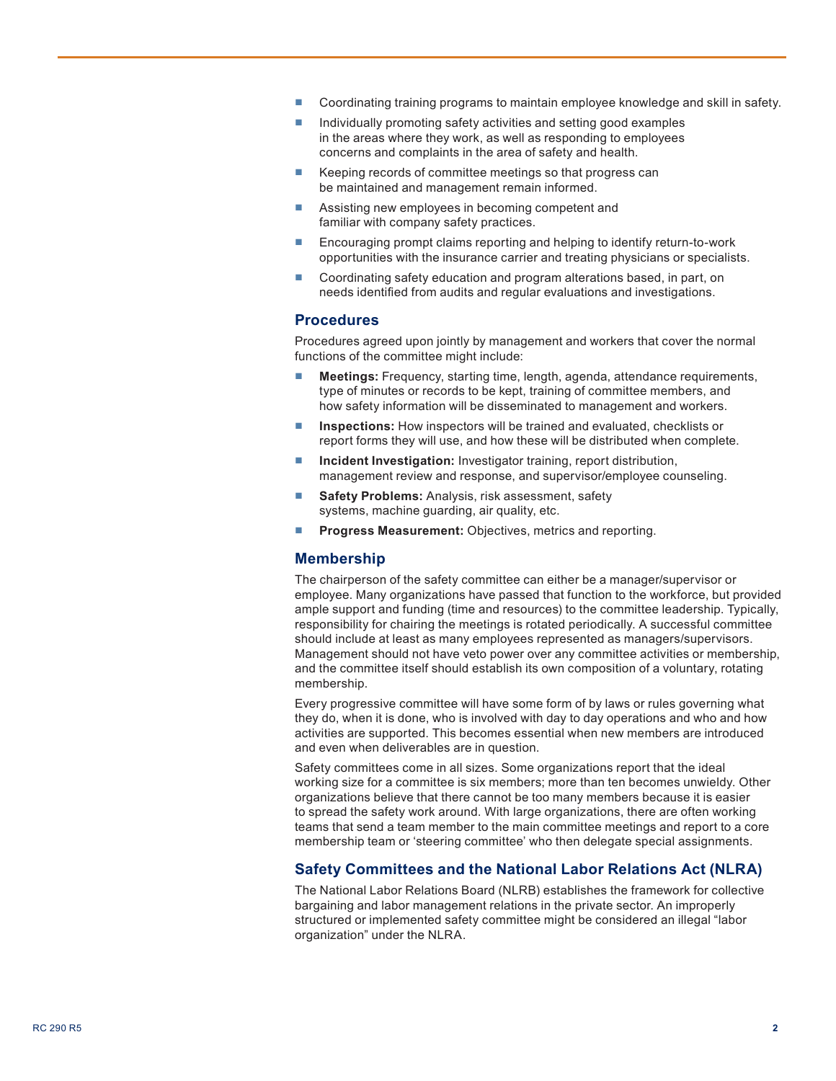- Coordinating training programs to maintain employee knowledge and skill in safety.
- Individually promoting safety activities and setting good examples in the areas where they work, as well as responding to employees concerns and complaints in the area of safety and health.
- Keeping records of committee meetings so that progress can be maintained and management remain informed.
- Assisting new employees in becoming competent and familiar with company safety practices.
- Encouraging prompt claims reporting and helping to identify return-to-work opportunities with the insurance carrier and treating physicians or specialists.
- Coordinating safety education and program alterations based, in part, on needs identified from audits and regular evaluations and investigations.

#### **Procedures**

Procedures agreed upon jointly by management and workers that cover the normal functions of the committee might include:

- **Meetings:** Frequency, starting time, length, agenda, attendance requirements, type of minutes or records to be kept, training of committee members, and how safety information will be disseminated to management and workers.
- **Inspections:** How inspectors will be trained and evaluated, checklists or report forms they will use, and how these will be distributed when complete.
- **Incident Investigation:** Investigator training, report distribution, management review and response, and supervisor/employee counseling.
- **Safety Problems: Analysis, risk assessment, safety** systems, machine guarding, air quality, etc.
- **Progress Measurement:** Objectives, metrics and reporting.

#### **Membership**

The chairperson of the safety committee can either be a manager/supervisor or employee. Many organizations have passed that function to the workforce, but provided ample support and funding (time and resources) to the committee leadership. Typically, responsibility for chairing the meetings is rotated periodically. A successful committee should include at least as many employees represented as managers/supervisors. Management should not have veto power over any committee activities or membership, and the committee itself should establish its own composition of a voluntary, rotating membership.

Every progressive committee will have some form of by laws or rules governing what they do, when it is done, who is involved with day to day operations and who and how activities are supported. This becomes essential when new members are introduced and even when deliverables are in question.

Safety committees come in all sizes. Some organizations report that the ideal working size for a committee is six members; more than ten becomes unwieldy. Other organizations believe that there cannot be too many members because it is easier to spread the safety work around. With large organizations, there are often working teams that send a team member to the main committee meetings and report to a core membership team or 'steering committee' who then delegate special assignments.

## **Safety Committees and the National Labor Relations Act (NLRA)**

The National Labor Relations Board (NLRB) establishes the framework for collective bargaining and labor management relations in the private sector. An improperly structured or implemented safety committee might be considered an illegal "labor organization" under the NLRA.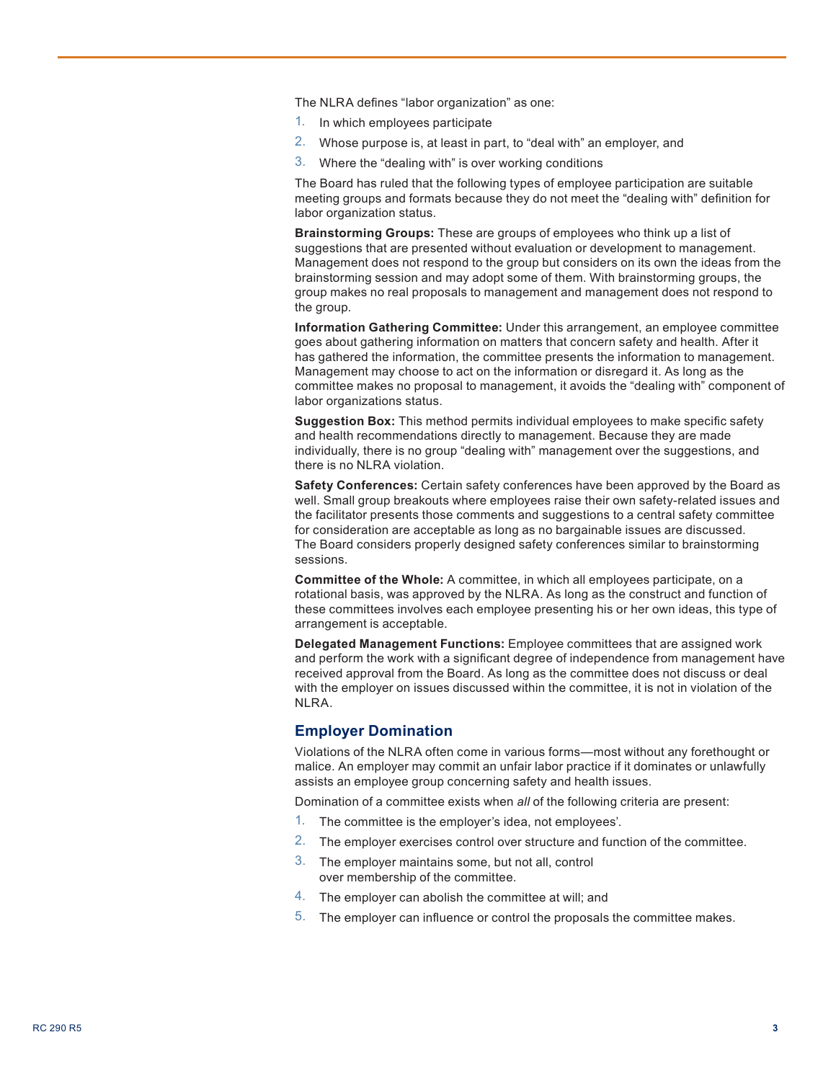The NLRA defines "labor organization" as one:

- 1. In which employees participate
- 2. Whose purpose is, at least in part, to "deal with" an employer, and
- 3. Where the "dealing with" is over working conditions

The Board has ruled that the following types of employee participation are suitable meeting groups and formats because they do not meet the "dealing with" definition for labor organization status.

**Brainstorming Groups:** These are groups of employees who think up a list of suggestions that are presented without evaluation or development to management. Management does not respond to the group but considers on its own the ideas from the brainstorming session and may adopt some of them. With brainstorming groups, the group makes no real proposals to management and management does not respond to the group.

**Information Gathering Committee:** Under this arrangement, an employee committee goes about gathering information on matters that concern safety and health. After it has gathered the information, the committee presents the information to management. Management may choose to act on the information or disregard it. As long as the committee makes no proposal to management, it avoids the "dealing with" component of labor organizations status.

**Suggestion Box:** This method permits individual employees to make specific safety and health recommendations directly to management. Because they are made individually, there is no group "dealing with" management over the suggestions, and there is no NLRA violation.

**Safety Conferences:** Certain safety conferences have been approved by the Board as well. Small group breakouts where employees raise their own safety-related issues and the facilitator presents those comments and suggestions to a central safety committee for consideration are acceptable as long as no bargainable issues are discussed. The Board considers properly designed safety conferences similar to brainstorming sessions.

**Committee of the Whole:** A committee, in which all employees participate, on a rotational basis, was approved by the NLRA. As long as the construct and function of these committees involves each employee presenting his or her own ideas, this type of arrangement is acceptable.

**Delegated Management Functions:** Employee committees that are assigned work and perform the work with a significant degree of independence from management have received approval from the Board. As long as the committee does not discuss or deal with the employer on issues discussed within the committee, it is not in violation of the NLRA.

#### **Employer Domination**

Violations of the NLRA often come in various forms—most without any forethought or malice. An employer may commit an unfair labor practice if it dominates or unlawfully assists an employee group concerning safety and health issues.

Domination of a committee exists when *all* of the following criteria are present:

- 1. The committee is the employer's idea, not employees'.
- 2. The employer exercises control over structure and function of the committee.
- 3. The employer maintains some, but not all, control over membership of the committee.
- 4. The employer can abolish the committee at will; and
- 5. The employer can influence or control the proposals the committee makes.